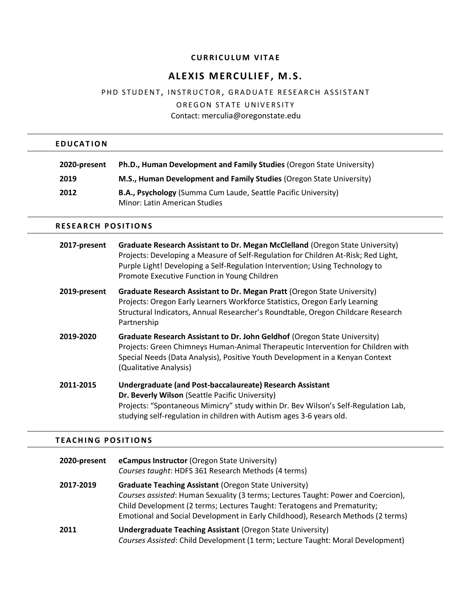# **CURRICULUM VITAE**

# **ALE XIS M ERCULIE F , M. S.**

# PHD STUDENT, INSTRUCTOR, GRADUATE RESEARCH ASSISTANT

OREGON STATE UNIVERSITY

Contact: merculia@oregonstate.edu

# **E D U C A T I O N**

| 2020-present | <b>Ph.D., Human Development and Family Studies (Oregon State University)</b> |
|--------------|------------------------------------------------------------------------------|
| 2019         | <b>M.S., Human Development and Family Studies (Oregon State University)</b>  |
| 2012         | <b>B.A., Psychology</b> (Summa Cum Laude, Seattle Pacific University)        |
|              | Minor: Latin American Studies                                                |

# **RESEARCH POSITIONS**

| 2017-present | Graduate Research Assistant to Dr. Megan McClelland (Oregon State University)<br>Projects: Developing a Measure of Self-Regulation for Children At-Risk; Red Light,<br>Purple Light! Developing a Self-Regulation Intervention; Using Technology to<br>Promote Executive Function in Young Children |
|--------------|-----------------------------------------------------------------------------------------------------------------------------------------------------------------------------------------------------------------------------------------------------------------------------------------------------|
| 2019-present | Graduate Research Assistant to Dr. Megan Pratt (Oregon State University)<br>Projects: Oregon Early Learners Workforce Statistics, Oregon Early Learning<br>Structural Indicators, Annual Researcher's Roundtable, Oregon Childcare Research<br>Partnership                                          |
| 2019-2020    | Graduate Research Assistant to Dr. John Geldhof (Oregon State University)<br>Projects: Green Chimneys Human-Animal Therapeutic Intervention for Children with<br>Special Needs (Data Analysis), Positive Youth Development in a Kenyan Context<br>(Qualitative Analysis)                            |
| 2011-2015    | Undergraduate (and Post-baccalaureate) Research Assistant<br>Dr. Beverly Wilson (Seattle Pacific University)<br>Projects: "Spontaneous Mimicry" study within Dr. Bev Wilson's Self-Regulation Lab,<br>studying self-regulation in children with Autism ages 3-6 years old.                          |

### **TEACHING POSITIONS**

| 2020-present | eCampus Instructor (Oregon State University)<br>Courses taught: HDFS 361 Research Methods (4 terms)                                                                                                                                                                                                               |
|--------------|-------------------------------------------------------------------------------------------------------------------------------------------------------------------------------------------------------------------------------------------------------------------------------------------------------------------|
| 2017-2019    | <b>Graduate Teaching Assistant (Oregon State University)</b><br>Courses assisted: Human Sexuality (3 terms; Lectures Taught: Power and Coercion),<br>Child Development (2 terms; Lectures Taught: Teratogens and Prematurity;<br>Emotional and Social Development in Early Childhood), Research Methods (2 terms) |
| 2011         | <b>Undergraduate Teaching Assistant (Oregon State University)</b><br>Courses Assisted: Child Development (1 term; Lecture Taught: Moral Development)                                                                                                                                                              |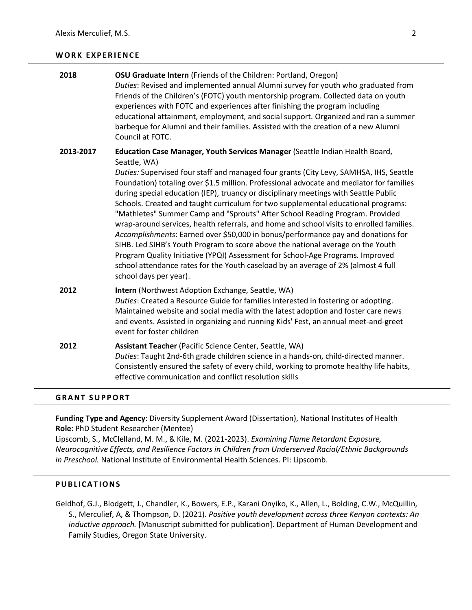#### WORK EXPERIENCE

| 2018      | <b>OSU Graduate Intern</b> (Friends of the Children: Portland, Oregon)<br>Duties: Revised and implemented annual Alumni survey for youth who graduated from<br>Friends of the Children's (FOTC) youth mentorship program. Collected data on youth<br>experiences with FOTC and experiences after finishing the program including<br>educational attainment, employment, and social support. Organized and ran a summer<br>barbeque for Alumni and their families. Assisted with the creation of a new Alumni<br>Council at FOTC.                                                                                                                                                                                                                                                                                                                                                                                                                                                                                    |
|-----------|---------------------------------------------------------------------------------------------------------------------------------------------------------------------------------------------------------------------------------------------------------------------------------------------------------------------------------------------------------------------------------------------------------------------------------------------------------------------------------------------------------------------------------------------------------------------------------------------------------------------------------------------------------------------------------------------------------------------------------------------------------------------------------------------------------------------------------------------------------------------------------------------------------------------------------------------------------------------------------------------------------------------|
| 2013-2017 | Education Case Manager, Youth Services Manager (Seattle Indian Health Board,<br>Seattle, WA)<br>Duties: Supervised four staff and managed four grants (City Levy, SAMHSA, IHS, Seattle<br>Foundation) totaling over \$1.5 million. Professional advocate and mediator for families<br>during special education (IEP), truancy or disciplinary meetings with Seattle Public<br>Schools. Created and taught curriculum for two supplemental educational programs:<br>"Mathletes" Summer Camp and "Sprouts" After School Reading Program. Provided<br>wrap-around services, health referrals, and home and school visits to enrolled families.<br>Accomplishments: Earned over \$50,000 in bonus/performance pay and donations for<br>SIHB. Led SIHB's Youth Program to score above the national average on the Youth<br>Program Quality Initiative (YPQI) Assessment for School-Age Programs. Improved<br>school attendance rates for the Youth caseload by an average of 2% (almost 4 full<br>school days per year). |
| 2012      | Intern (Northwest Adoption Exchange, Seattle, WA)<br>Duties: Created a Resource Guide for families interested in fostering or adopting.<br>Maintained website and social media with the latest adoption and foster care news<br>and events. Assisted in organizing and running Kids' Fest, an annual meet-and-greet<br>event for foster children                                                                                                                                                                                                                                                                                                                                                                                                                                                                                                                                                                                                                                                                    |
| 2012      | Assistant Teacher (Pacific Science Center, Seattle, WA)<br>Duties: Taught 2nd-6th grade children science in a hands-on, child-directed manner.<br>Consistently ensured the safety of every child, working to promote healthy life habits,<br>effective communication and conflict resolution skills                                                                                                                                                                                                                                                                                                                                                                                                                                                                                                                                                                                                                                                                                                                 |

### **GRANT SUPPORT**

**Funding Type and Agency**: Diversity Supplement Award (Dissertation), National Institutes of Health **Role**: PhD Student Researcher (Mentee)

Lipscomb, S., McClelland, M. M., & Kile, M. (2021-2023). *Examining Flame Retardant Exposure, Neurocognitive Effects, and Resilience Factors in Children from Underserved Racial/Ethnic Backgrounds in Preschool.* National Institute of Environmental Health Sciences. PI: Lipscomb.

### **P U B L I C A T I O N S**

Geldhof, G.J., Blodgett, J., Chandler, K., Bowers, E.P., Karani Onyiko, K., Allen, L., Bolding, C.W., McQuillin, S., Merculief, A, & Thompson, D. (2021). *Positive youth development across three Kenyan contexts: An inductive approach.* [Manuscript submitted for publication]. Department of Human Development and Family Studies, Oregon State University.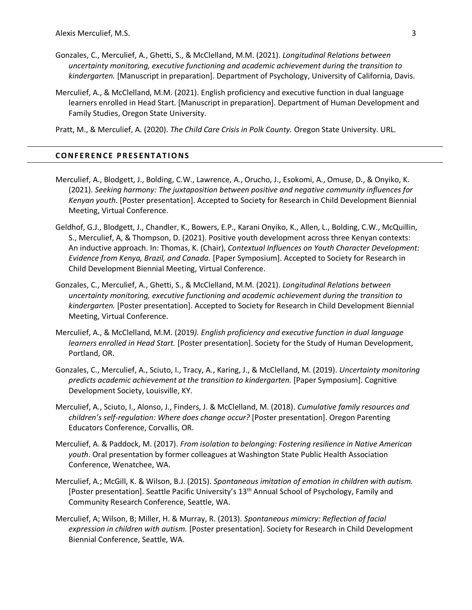- Gonzales, C., Merculief, A., Ghetti, S., & McClelland, M.M. (2021). *Longitudinal Relations between uncertainty monitoring, executive functioning and academic achievement during the transition to kindergarten.* [Manuscript in preparation]. Department of Psychology, University of California, Davis.
- Merculief, A., & McClelland, M.M. (2021). English proficiency and executive function in dual language learners enrolled in Head Start. [Manuscript in preparation]. Department of Human Development and Family Studies, Oregon State University.

Pratt, M., & Merculief, A. (2020). *The Child Care Crisis in Polk County.* Oregon State University. URL.

#### **C O N F E R E N C E P R E S E N T A T I O N S**

- Merculief, A., Blodgett, J., Bolding, C.W., Lawrence, A., Orucho, J., Esokomi, A., Omuse, D., & Onyiko, K. (2021). *Seeking harmony: The juxtaposition between positive and negative community influences for Kenyan youth*. [Poster presentation]. Accepted to Society for Research in Child Development Biennial Meeting, Virtual Conference.
- Geldhof, G.J., Blodgett, J., Chandler, K., Bowers, E.P., Karani Onyiko, K., Allen, L., Bolding, C.W., McQuillin, S., Merculief, A, & Thompson, D. (2021). Positive youth development across three Kenyan contexts: An inductive approach. In: Thomas, K. (Chair), *Contextual Influences on Youth Character Development: Evidence from Kenya, Brazil, and Canada.* [Paper Symposium]. Accepted to Society for Research in Child Development Biennial Meeting, Virtual Conference.
- Gonzales, C., Merculief, A., Ghetti, S., & McClelland, M.M. (2021). *Longitudinal Relations between uncertainty monitoring, executive functioning and academic achievement during the transition to kindergarten.* [Poster presentation]. Accepted to Society for Research in Child Development Biennial Meeting, Virtual Conference.
- Merculief, A., & McClelland, M.M. (2019*). English proficiency and executive function in dual language learners enrolled in Head Start.* [Poster presentation]. Society for the Study of Human Development, Portland, OR.
- Gonzales, C., Merculief, A., Sciuto, I., Tracy, A., Karing, J., & McClelland, M. (2019). *Uncertainty monitoring predicts academic achievement at the transition to kindergarten.* [Paper Symposium]. Cognitive Development Society, Louisville, KY.
- Merculief, A., Sciuto, I., Alonso, J., Finders, J. & McClelland, M. (2018). *Cumulative family resources and children's self-regulation: Where does change occur?* [Poster presentation]. Oregon Parenting Educators Conference, Corvallis, OR.
- Merculief, A. & Paddock, M. (2017). *From isolation to belonging: Fostering resilience in Native American youth*. Oral presentation by former colleagues at Washington State Public Health Association Conference, Wenatchee, WA.
- Merculief, A.; McGill, K. & Wilson, B.J. (2015). *Spontaneous imitation of emotion in children with autism.*  [Poster presentation]. Seattle Pacific University's 13<sup>th</sup> Annual School of Psychology, Family and Community Research Conference, Seattle, WA.
- Merculief, A; Wilson, B; Miller, H. & Murray, R. (2013). *Spontaneous mimicry: Reflection of facial expression in children with autism.* [Poster presentation]. Society for Research in Child Development Biennial Conference, Seattle, WA.